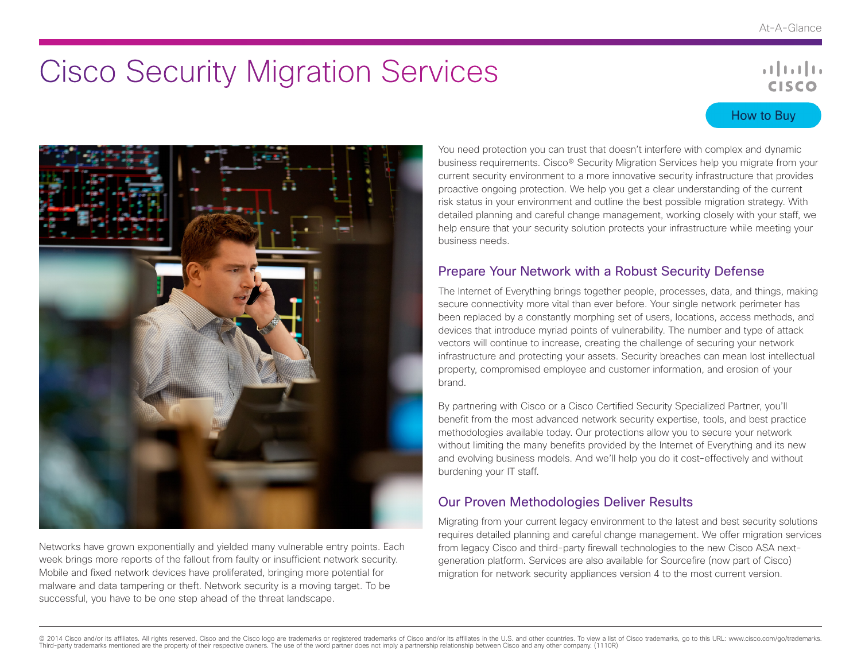# Cisco Security Migration Services

## $\mathbf{d}$  and  $\mathbf{d}$ **CISCO**

## How to Buy



Networks have grown exponentially and yielded many vulnerable entry points. Each week brings more reports of the fallout from faulty or insufficient network security. Mobile and fixed network devices have proliferated, bringing more potential for malware and data tampering or theft. Network security is a moving target. To be successful, you have to be one step ahead of the threat landscape.

You need protection you can trust that doesn't interfere with complex and dynamic business requirements. Cisco® Security Migration Services help you migrate from your current security environment to a more innovative security infrastructure that provides proactive ongoing protection. We help you get a clear understanding of the current risk status in your environment and outline the best possible migration strategy. With detailed planning and careful change management, working closely with your staff, we help ensure that your security solution protects your infrastructure while meeting your business needs.

## Prepare Your Network with a Robust Security Defense

The Internet of Everything brings together people, processes, data, and things, making secure connectivity more vital than ever before. Your single network perimeter has been replaced by a constantly morphing set of users, locations, access methods, and devices that introduce myriad points of vulnerability. The number and type of attack vectors will continue to increase, creating the challenge of securing your network infrastructure and protecting your assets. Security breaches can mean lost intellectual property, compromised employee and customer information, and erosion of your brand.

By partnering with Cisco or a Cisco Certified Security Specialized Partner, you'll benefit from the most advanced network security expertise, tools, and best practice methodologies available today. Our protections allow you to secure your network without limiting the many benefits provided by the Internet of Everything and its new and evolving business models. And we'll help you do it cost-effectively and without burdening your IT staff.

## Our Proven Methodologies Deliver Results

Migrating from your current legacy environment to the latest and best security solutions requires detailed planning and careful change management. We offer migration services from legacy Cisco and third-party firewall technologies to the new Cisco ASA nextgeneration platform. Services are also available for Sourcefire (now part of Cisco) migration for network security appliances version 4 to the most current version.

@ 2014 Cisco and/or its affiliates. All rights reserved. Cisco and the Cisco logo are trademarks or registered trademarks of Cisco and/or its affiliates in the U.S. and other countries. To view a list of Cisco trademarks, Third-party trademarks mentioned are the property of their respective owners. The use of the word partner does not imply a partnership relationship between Cisco and any other company. (1110R)